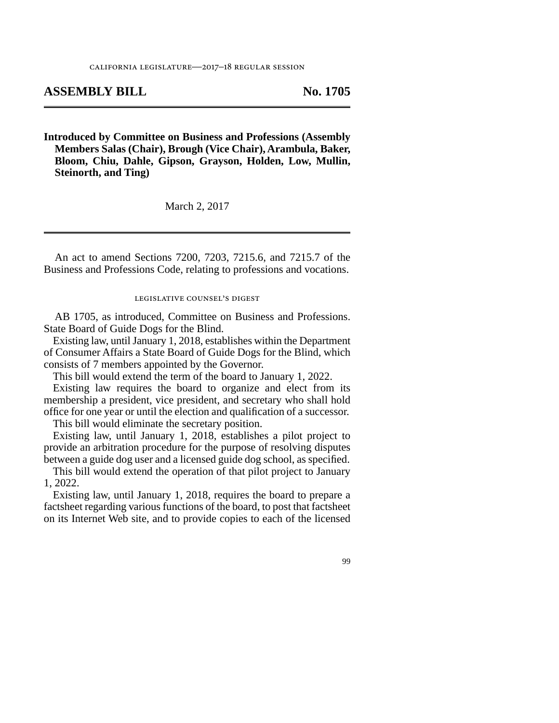## **ASSEMBLY BILL No. 1705**

**Introduced by Committee on Business and Professions (Assembly Members Salas (Chair), Brough (Vice Chair), Arambula, Baker, Bloom, Chiu, Dahle, Gipson, Grayson, Holden, Low, Mullin, Steinorth, and Ting)**

March 2, 2017

An act to amend Sections 7200, 7203, 7215.6, and 7215.7 of the Business and Professions Code, relating to professions and vocations.

legislative counsel's digest

AB 1705, as introduced, Committee on Business and Professions. State Board of Guide Dogs for the Blind.

Existing law, until January 1, 2018, establishes within the Department of Consumer Affairs a State Board of Guide Dogs for the Blind, which consists of 7 members appointed by the Governor.

This bill would extend the term of the board to January 1, 2022.

Existing law requires the board to organize and elect from its membership a president, vice president, and secretary who shall hold office for one year or until the election and qualification of a successor.

This bill would eliminate the secretary position.

Existing law, until January 1, 2018, establishes a pilot project to provide an arbitration procedure for the purpose of resolving disputes between a guide dog user and a licensed guide dog school, as specified.

This bill would extend the operation of that pilot project to January 1, 2022.

Existing law, until January 1, 2018, requires the board to prepare a factsheet regarding various functions of the board, to post that factsheet on its Internet Web site, and to provide copies to each of the licensed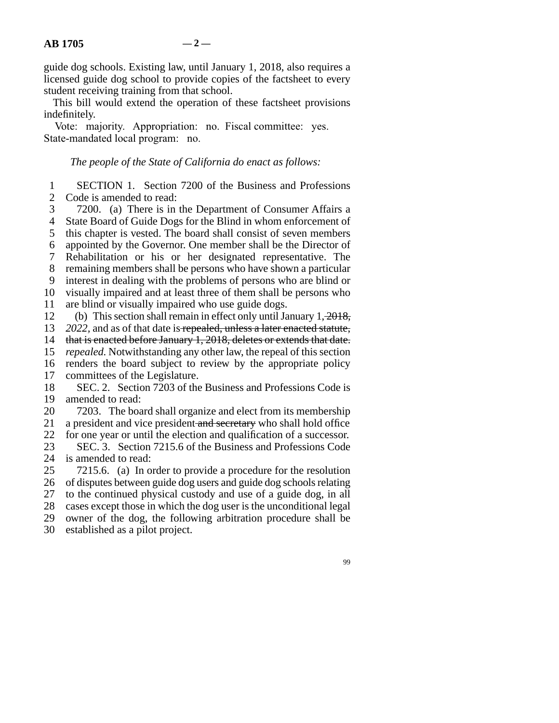guide dog schools. Existing law, until January 1, 2018, also requires a licensed guide dog school to provide copies of the factsheet to every student receiving training from that school.

This bill would extend the operation of these factsheet provisions indefinitely.

Vote: majority. Appropriation: no. Fiscal committee: yes. State-mandated local program: no.

## *The people of the State of California do enact as follows:*

1 SECTION 1. Section 7200 of the Business and Professions<br>2 Code is amended to read: Code is amended to read:

3 7200. (a) There is in the Department of Consumer Affairs a 4 State Board of Guide Dogs for the Blind in whom enforcement of 5 this chapter is vested. The board shall consist of seven members line 6 appointed by the Governor. One member shall be the Director of 7 Rehabilitation or his or her designated representative. The 8 remaining members shall be persons who have shown a particular 9 interest in dealing with the problems of persons who are blind or 10 visually impaired and at least three of them shall be persons who 11 are blind or visually impaired who use guide dogs. 12 (b) This section shall remain in effect only until January  $1, \frac{2018}{1}$ , 13 *2022*, and as of that date is repealed, unless a later enacted statute, 14 that is enacted before January 1, 2018, deletes or extends that date.

15 *repealed*. Notwithstanding any other law, the repeal of this section 16 renders the board subject to review by the appropriate policy

17 committees of the Legislature.

18 SEC. 2. Section 7203 of the Business and Professions Code is 19 amended to read:

20 7203. The board shall organize and elect from its membership 21 a president and vice president and secretary who shall hold office

22 for one year or until the election and qualification of a successor.<br>23 SEC. 3. Section 7215.6 of the Business and Professions Code 23 SEC. 3. Section 7215.6 of the Business and Professions Code<br>24 is amended to read: is amended to read:

25 7215.6. (a) In order to provide a procedure for the resolution 26 of disputes between guide dog users and guide dog schools relating 27 to the continued physical custody and use of a guide dog, in all 28 cases except those in which the dog user is the unconditional legal<br>29 owner of the dog, the following arbitration procedure shall be owner of the dog, the following arbitration procedure shall be 30 established as a pilot project.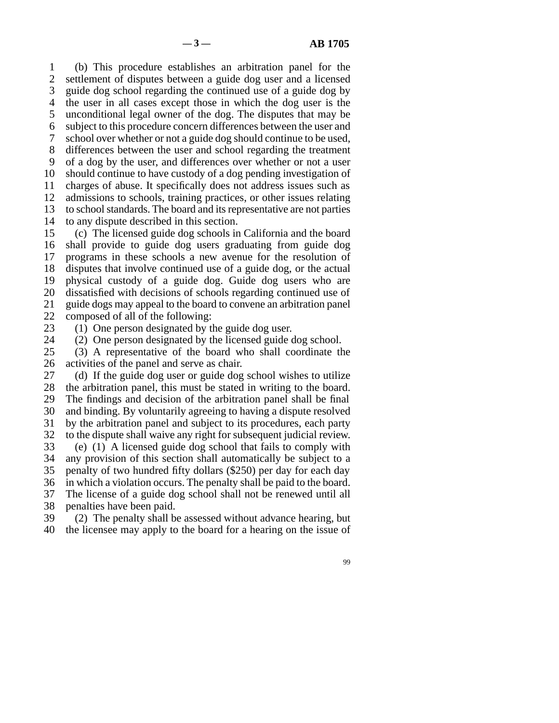line 1 (b) This procedure establishes an arbitration panel for the 2 settlement of disputes between a guide dog user and a licensed 3 guide dog school regarding the continued use of a guide dog by 4 the user in all cases except those in which the dog user is the 5 unconditional legal owner of the dog. The disputes that may be line 6 subject to this procedure concern differences between the user and 7 school over whether or not a guide dog should continue to be used, 8 differences between the user and school regarding the treatment 9 of a dog by the user, and differences over whether or not a user 10 should continue to have custody of a dog pending investigation of 11 charges of abuse. It specifically does not address issues such as 12 admissions to schools, training practices, or other issues relating 13 to school standards. The board and its representative are not parties 14 to any dispute described in this section.

15 (c) The licensed guide dog schools in California and the board 16 shall provide to guide dog users graduating from guide dog 17 programs in these schools a new avenue for the resolution of 18 disputes that involve continued use of a guide dog, or the actual 19 physical custody of a guide dog. Guide dog users who are 20 dissatisfied with decisions of schools regarding continued use of 21 guide dogs may appeal to the board to convene an arbitration panel 22 composed of all of the following:<br>23 (1) One person designated by  $t$ 

(1) One person designated by the guide dog user.

24 (2) One person designated by the licensed guide dog school.<br>25 (3) A representative of the board who shall coordinate the

(3) A representative of the board who shall coordinate the 26 activities of the panel and serve as chair.

27 (d) If the guide dog user or guide dog school wishes to utilize 28 the arbitration panel, this must be stated in writing to the board. 29 The findings and decision of the arbitration panel shall be final 30 and binding. By voluntarily agreeing to having a dispute resolved 31 by the arbitration panel and subject to its procedures, each party 32 to the dispute shall waive any right for subsequent judicial review. 33 (e) (1) A licensed guide dog school that fails to comply with 34 any provision of this section shall automatically be subject to a 35 penalty of two hundred fifty dollars  $(\$250)$  per day for each day 36 in which a violation occurs. The penalty shall be paid to the board. 37 The license of a guide dog school shall not be renewed until all 38 penalties have been paid.

 line 39 (2) The penalty shall be assessed without advance hearing, but 40 the licensee may apply to the board for a hearing on the issue of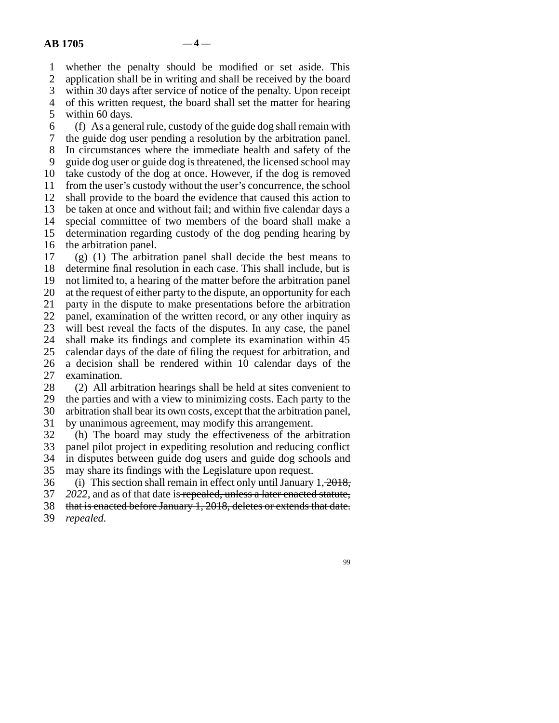line 1 whether the penalty should be modified or set aside. This

2 application shall be in writing and shall be received by the board<br>3 within 30 days after service of notice of the penalty. Upon receipt

within 30 days after service of notice of the penalty. Upon receipt

4 of this written request, the board shall set the matter for hearing

5 within  $60$  days.

 $\delta$  (f) As a general rule, custody of the guide dog shall remain with

line 7 the guide dog user pending a resolution by the arbitration panel.

8 In circumstances where the immediate health and safety of the 9 guide dog user or guide dog is threatened, the licensed school may

10 take custody of the dog at once. However, if the dog is removed

11 from the user's custody without the user's concurrence, the school

12 shall provide to the board the evidence that caused this action to

13 be taken at once and without fail; and within five calendar days a

14 special committee of two members of the board shall make a

15 determination regarding custody of the dog pending hearing by 16 the arbitration panel.

 $17$  (g) (1) The arbitration panel shall decide the best means to 18 determine final resolution in each case. This shall include, but is 19 not limited to, a hearing of the matter before the arbitration panel 20 at the request of either party to the dispute, an opportunity for each 21 party in the dispute to make presentations before the arbitration 22 panel, examination of the written record, or any other inquiry as 23 will best reveal the facts of the disputes. In any case, the panel 24 shall make its findings and complete its examination within 45<br>25 calendar days of the date of filing the request for arbitration, and calendar days of the date of filing the request for arbitration, and 26 a decision shall be rendered within 10 calendar days of the 27 examination.

28 (2) All arbitration hearings shall be held at sites convenient to 29 the parties and with a view to minimizing costs. Each party to the 30 arbitration shall bear its own costs, except that the arbitration panel,

31 by unanimous agreement, may modify this arrangement.

32 (h) The board may study the effectiveness of the arbitration 33 panel pilot project in expediting resolution and reducing conflict 34 in disputes between guide dog users and guide dog schools and 35 may share its findings with the Legislature upon request.

36 (i) This section shall remain in effect only until January  $1, \frac{2018}{3}$ 

line 37 *2022,* and as of that date is repealed, unless a later enacted statute,

38 that is enacted before January 1, 2018, deletes or extends that date.

39 *repealed.*